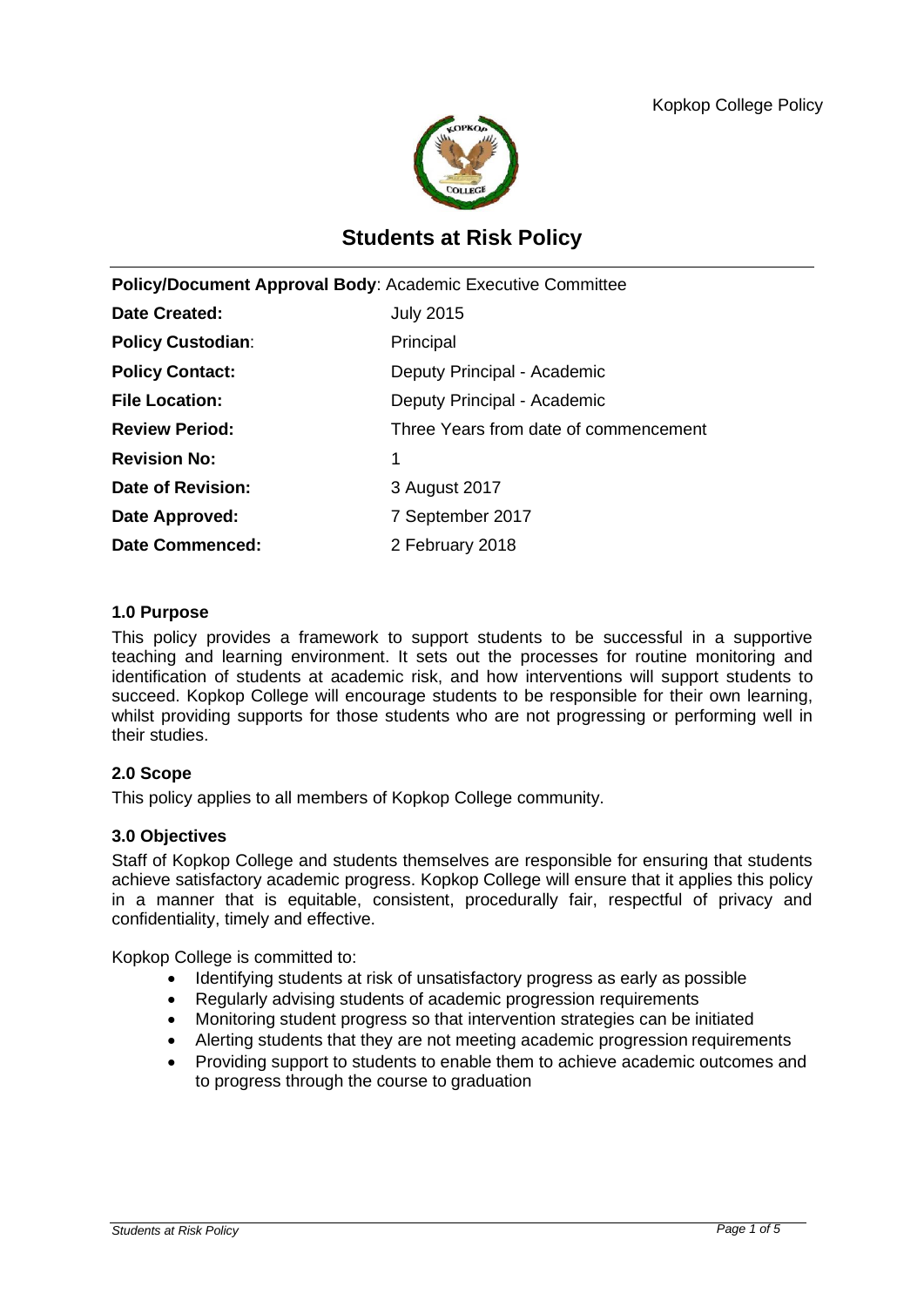

# **Students at Risk Policy**

| Policy/Document Approval Body: Academic Executive Committee |                                       |
|-------------------------------------------------------------|---------------------------------------|
| Date Created:                                               | <b>July 2015</b>                      |
| <b>Policy Custodian:</b>                                    | Principal                             |
| <b>Policy Contact:</b>                                      | Deputy Principal - Academic           |
| <b>File Location:</b>                                       | Deputy Principal - Academic           |
| <b>Review Period:</b>                                       | Three Years from date of commencement |
| <b>Revision No:</b>                                         | 1                                     |
| Date of Revision:                                           | 3 August 2017                         |
| Date Approved:                                              | 7 September 2017                      |
| <b>Date Commenced:</b>                                      | 2 February 2018                       |
|                                                             |                                       |

## **1.0 Purpose**

This policy provides a framework to support students to be successful in a supportive teaching and learning environment. It sets out the processes for routine monitoring and identification of students at academic risk, and how interventions will support students to succeed. Kopkop College will encourage students to be responsible for their own learning, whilst providing supports for those students who are not progressing or performing well in their studies.

# **2.0 Scope**

This policy applies to all members of Kopkop College community.

#### **3.0 Objectives**

Staff of Kopkop College and students themselves are responsible for ensuring that students achieve satisfactory academic progress. Kopkop College will ensure that it applies this policy in a manner that is equitable, consistent, procedurally fair, respectful of privacy and confidentiality, timely and effective.

Kopkop College is committed to:

- Identifying students at risk of unsatisfactory progress as early as possible
- Regularly advising students of academic progression requirements
- Monitoring student progress so that intervention strategies can be initiated
- Alerting students that they are not meeting academic progression requirements
- Providing support to students to enable them to achieve academic outcomes and to progress through the course to graduation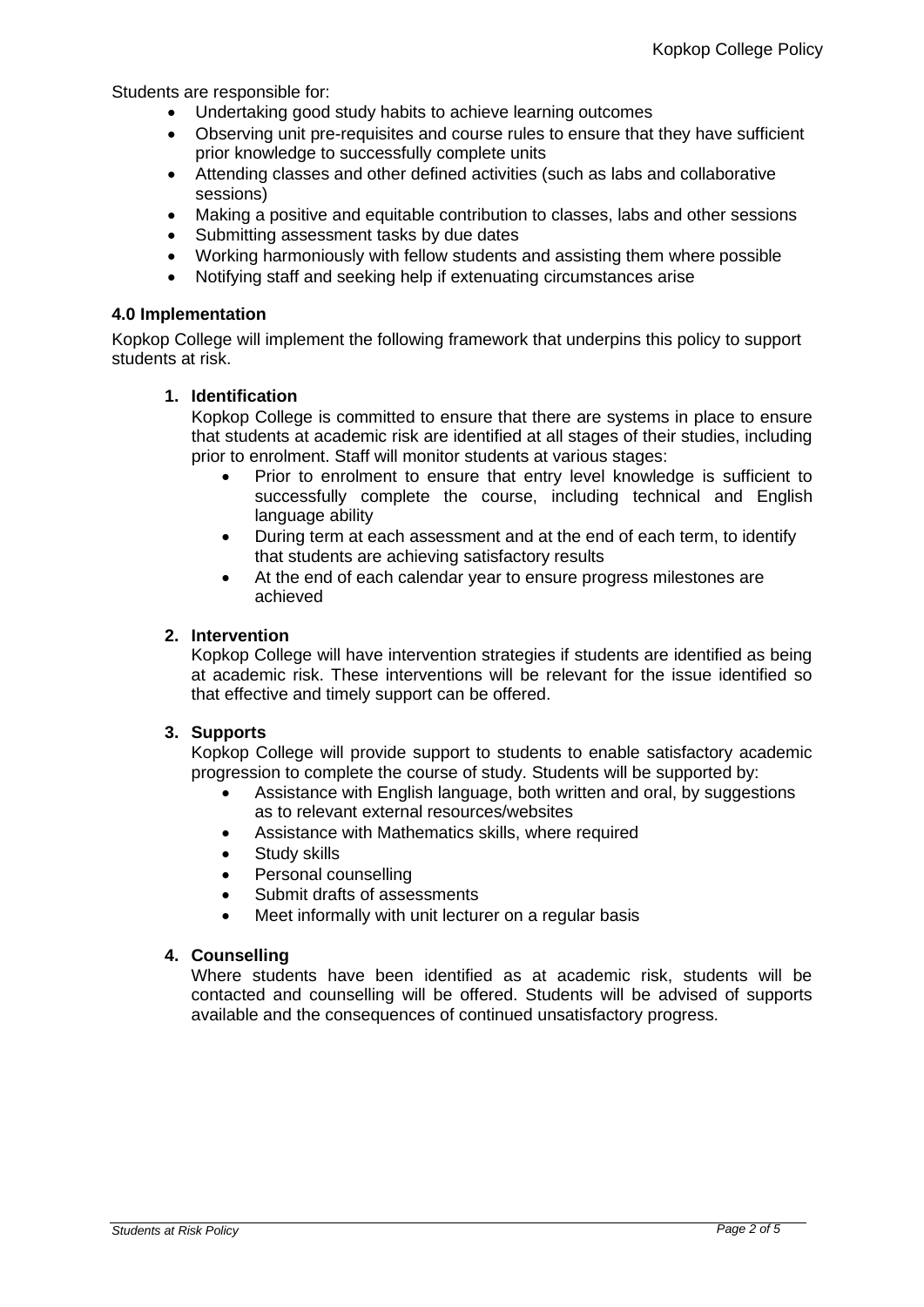Students are responsible for:

- Undertaking good study habits to achieve learning outcomes
- Observing unit pre-requisites and course rules to ensure that they have sufficient prior knowledge to successfully complete units
- Attending classes and other defined activities (such as labs and collaborative sessions)
- Making a positive and equitable contribution to classes, labs and other sessions
- Submitting assessment tasks by due dates
- Working harmoniously with fellow students and assisting them where possible
- Notifying staff and seeking help if extenuating circumstances arise

#### **4.0 Implementation**

Kopkop College will implement the following framework that underpins this policy to support students at risk.

## **1. Identification**

Kopkop College is committed to ensure that there are systems in place to ensure that students at academic risk are identified at all stages of their studies, including prior to enrolment. Staff will monitor students at various stages:

- Prior to enrolment to ensure that entry level knowledge is sufficient to successfully complete the course, including technical and English language ability
- During term at each assessment and at the end of each term, to identify that students are achieving satisfactory results
- At the end of each calendar year to ensure progress milestones are achieved

## **2. Intervention**

Kopkop College will have intervention strategies if students are identified as being at academic risk. These interventions will be relevant for the issue identified so that effective and timely support can be offered.

# **3. Supports**

Kopkop College will provide support to students to enable satisfactory academic progression to complete the course of study. Students will be supported by:

- Assistance with English language, both written and oral, by suggestions as to relevant external resources/websites
- Assistance with Mathematics skills, where required
- Study skills
- Personal counselling
- Submit drafts of assessments
- Meet informally with unit lecturer on a regular basis

#### **4. Counselling**

Where students have been identified as at academic risk, students will be contacted and counselling will be offered. Students will be advised of supports available and the consequences of continued unsatisfactory progress.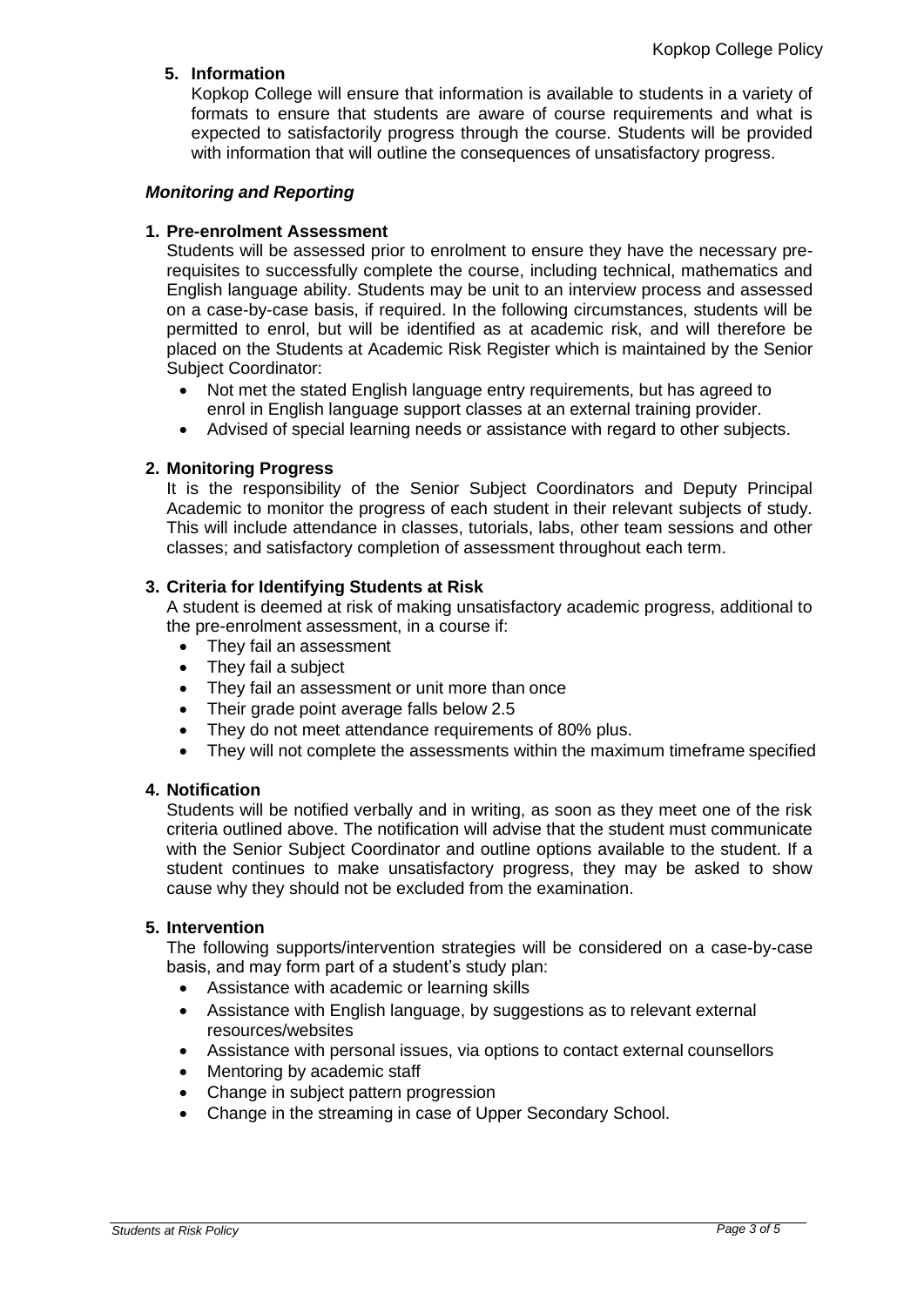# **5. Information**

Kopkop College will ensure that information is available to students in a variety of formats to ensure that students are aware of course requirements and what is expected to satisfactorily progress through the course. Students will be provided with information that will outline the consequences of unsatisfactory progress.

# *Monitoring and Reporting*

# **1. Pre-enrolment Assessment**

Students will be assessed prior to enrolment to ensure they have the necessary prerequisites to successfully complete the course, including technical, mathematics and English language ability. Students may be unit to an interview process and assessed on a case-by-case basis, if required. In the following circumstances, students will be permitted to enrol, but will be identified as at academic risk, and will therefore be placed on the Students at Academic Risk Register which is maintained by the Senior Subject Coordinator:

- Not met the stated English language entry requirements, but has agreed to enrol in English language support classes at an external training provider.
- Advised of special learning needs or assistance with regard to other subjects.

## **2. Monitoring Progress**

It is the responsibility of the Senior Subject Coordinators and Deputy Principal Academic to monitor the progress of each student in their relevant subjects of study. This will include attendance in classes, tutorials, labs, other team sessions and other classes; and satisfactory completion of assessment throughout each term.

# **3. Criteria for Identifying Students at Risk**

A student is deemed at risk of making unsatisfactory academic progress, additional to the pre-enrolment assessment, in a course if:

- They fail an assessment
- They fail a subject
- They fail an assessment or unit more than once
- Their grade point average falls below 2.5
- They do not meet attendance requirements of 80% plus.
- They will not complete the assessments within the maximum timeframe specified

#### **4. Notification**

Students will be notified verbally and in writing, as soon as they meet one of the risk criteria outlined above. The notification will advise that the student must communicate with the Senior Subject Coordinator and outline options available to the student. If a student continues to make unsatisfactory progress, they may be asked to show cause why they should not be excluded from the examination.

#### **5. Intervention**

The following supports/intervention strategies will be considered on a case-by-case basis, and may form part of a student's study plan:

- Assistance with academic or learning skills
- Assistance with English language, by suggestions as to relevant external resources/websites
- Assistance with personal issues, via options to contact external counsellors
- Mentoring by academic staff
- Change in subject pattern progression
- Change in the streaming in case of Upper Secondary School.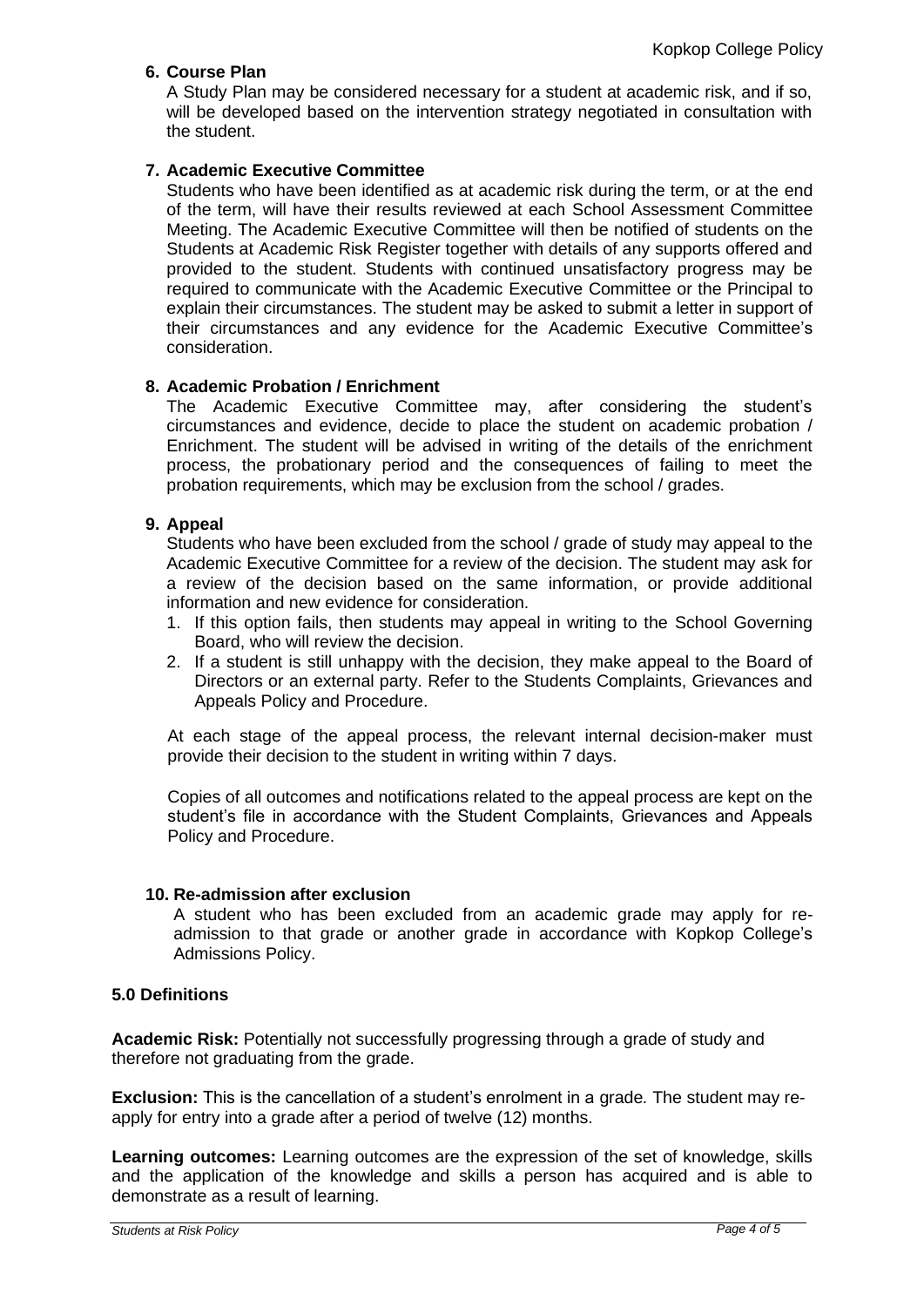# **6. Course Plan**

A Study Plan may be considered necessary for a student at academic risk, and if so, will be developed based on the intervention strategy negotiated in consultation with the student.

# **7. Academic Executive Committee**

Students who have been identified as at academic risk during the term, or at the end of the term, will have their results reviewed at each School Assessment Committee Meeting. The Academic Executive Committee will then be notified of students on the Students at Academic Risk Register together with details of any supports offered and provided to the student. Students with continued unsatisfactory progress may be required to communicate with the Academic Executive Committee or the Principal to explain their circumstances. The student may be asked to submit a letter in support of their circumstances and any evidence for the Academic Executive Committee's consideration.

## **8. Academic Probation / Enrichment**

The Academic Executive Committee may, after considering the student's circumstances and evidence, decide to place the student on academic probation / Enrichment. The student will be advised in writing of the details of the enrichment process, the probationary period and the consequences of failing to meet the probation requirements, which may be exclusion from the school / grades.

## **9. Appeal**

Students who have been excluded from the school / grade of study may appeal to the Academic Executive Committee for a review of the decision. The student may ask for a review of the decision based on the same information, or provide additional information and new evidence for consideration.

- 1. If this option fails, then students may appeal in writing to the School Governing Board, who will review the decision.
- 2. If a student is still unhappy with the decision, they make appeal to the Board of Directors or an external party. Refer to the Students Complaints, Grievances and Appeals Policy and Procedure.

At each stage of the appeal process, the relevant internal decision-maker must provide their decision to the student in writing within 7 days.

Copies of all outcomes and notifications related to the appeal process are kept on the student's file in accordance with the Student Complaints, Grievances and Appeals Policy and Procedure.

#### **10. Re-admission after exclusion**

A student who has been excluded from an academic grade may apply for readmission to that grade or another grade in accordance with Kopkop College's Admissions Policy.

# **5.0 Definitions**

**Academic Risk:** Potentially not successfully progressing through a grade of study and therefore not graduating from the grade.

**Exclusion:** This is the cancellation of a student's enrolment in a grade*.* The student may reapply for entry into a grade after a period of twelve (12) months.

**Learning outcomes:** Learning outcomes are the expression of the set of knowledge, skills and the application of the knowledge and skills a person has acquired and is able to demonstrate as a result of learning.